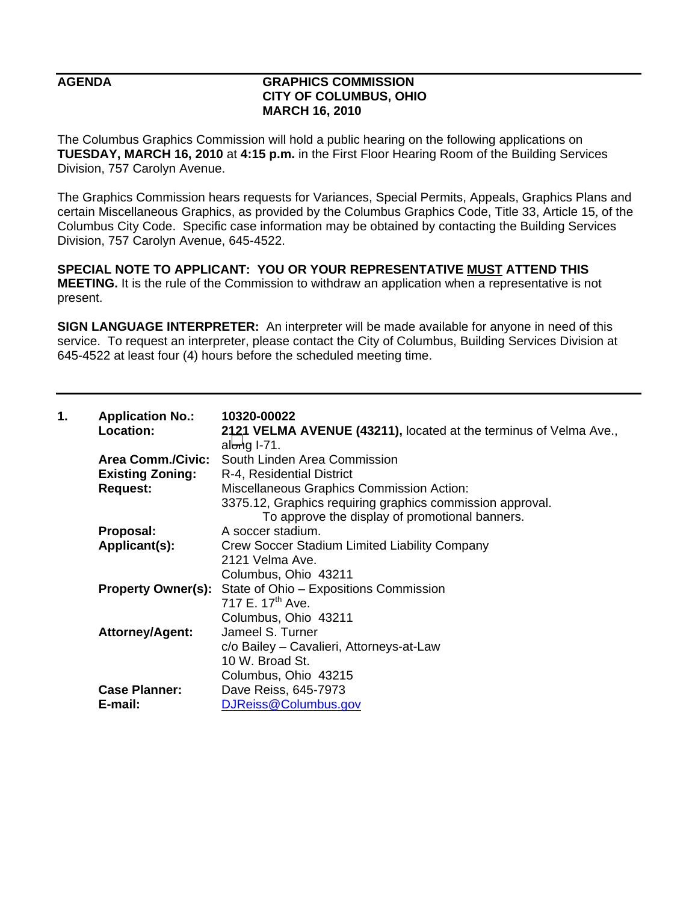## **AGENDA GRAPHICS COMMISSION CITY OF COLUMBUS, OHIO MARCH 16, 2010**

The Columbus Graphics Commission will hold a public hearing on the following applications on **TUESDAY, MARCH 16, 2010** at **4:15 p.m.** in the First Floor Hearing Room of the Building Services Division, 757 Carolyn Avenue.

The Graphics Commission hears requests for Variances, Special Permits, Appeals, Graphics Plans and certain Miscellaneous Graphics, as provided by the Columbus Graphics Code, Title 33, Article 15, of the Columbus City Code. Specific case information may be obtained by contacting the Building Services Division, 757 Carolyn Avenue, 645-4522.

**SPECIAL NOTE TO APPLICANT: YOU OR YOUR REPRESENTATIVE MUST ATTEND THIS MEETING.** It is the rule of the Commission to withdraw an application when a representative is not present.

**SIGN LANGUAGE INTERPRETER:** An interpreter will be made available for anyone in need of this service. To request an interpreter, please contact the City of Columbus, Building Services Division at 645-4522 at least four (4) hours before the scheduled meeting time.

| 1. | <b>Application No.:</b>   | 10320-00022                                                       |
|----|---------------------------|-------------------------------------------------------------------|
|    | Location:                 | 2121 VELMA AVENUE (43211), located at the terminus of Velma Ave., |
|    |                           | al $\biguplus$ 1-71.                                              |
|    | <b>Area Comm./Civic:</b>  | South Linden Area Commission                                      |
|    | <b>Existing Zoning:</b>   | R-4, Residential District                                         |
|    | <b>Request:</b>           | Miscellaneous Graphics Commission Action:                         |
|    |                           | 3375.12, Graphics requiring graphics commission approval.         |
|    |                           | To approve the display of promotional banners.                    |
|    | Proposal:                 | A soccer stadium.                                                 |
|    | Applicant(s):             | Crew Soccer Stadium Limited Liability Company                     |
|    |                           | 2121 Velma Ave.                                                   |
|    |                           | Columbus, Ohio 43211                                              |
|    | <b>Property Owner(s):</b> | State of Ohio - Expositions Commission                            |
|    |                           | 717 E. 17 <sup>th</sup> Ave.                                      |
|    |                           | Columbus, Ohio 43211                                              |
|    | Attorney/Agent:           | Jameel S. Turner                                                  |
|    |                           | c/o Bailey - Cavalieri, Attorneys-at-Law                          |
|    |                           | 10 W. Broad St.                                                   |
|    |                           | Columbus, Ohio 43215                                              |
|    | <b>Case Planner:</b>      | Dave Reiss, 645-7973                                              |
|    | E-mail:                   | DJReiss@Columbus.gov                                              |
|    |                           |                                                                   |